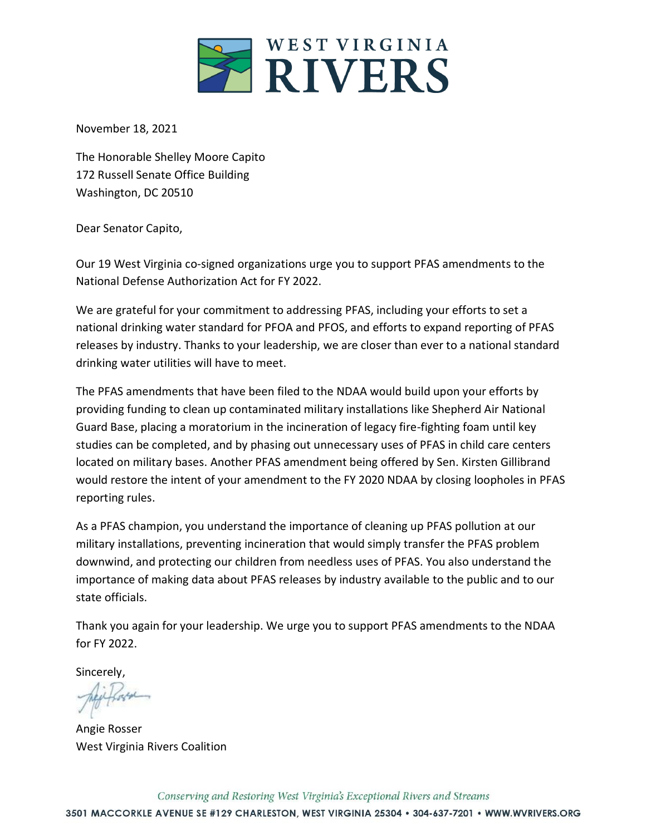

November 18, 2021

The Honorable Shelley Moore Capito 172 Russell Senate Office Building Washington, DC 20510

Dear Senator Capito,

Our 19 West Virginia co-signed organizations urge you to support PFAS amendments to the National Defense Authorization Act for FY 2022.

We are grateful for your commitment to addressing PFAS, including your efforts to set a national drinking water standard for PFOA and PFOS, and efforts to expand reporting of PFAS releases by industry. Thanks to your leadership, we are closer than ever to a national standard drinking water utilities will have to meet.

The PFAS amendments that have been filed to the NDAA would build upon your efforts by providing funding to clean up contaminated military installations like Shepherd Air National Guard Base, placing a moratorium in the incineration of legacy fire-fighting foam until key studies can be completed, and by phasing out unnecessary uses of PFAS in child care centers located on military bases. Another PFAS amendment being offered by Sen. Kirsten Gillibrand would restore the intent of your amendment to the FY 2020 NDAA by closing loopholes in PFAS reporting rules.

As a PFAS champion, you understand the importance of cleaning up PFAS pollution at our military installations, preventing incineration that would simply transfer the PFAS problem downwind, and protecting our children from needless uses of PFAS. You also understand the importance of making data about PFAS releases by industry available to the public and to our state officials.

Thank you again for your leadership. We urge you to support PFAS amendments to the NDAA for FY 2022.

Sincerely,

Angie Rosser West Virginia Rivers Coalition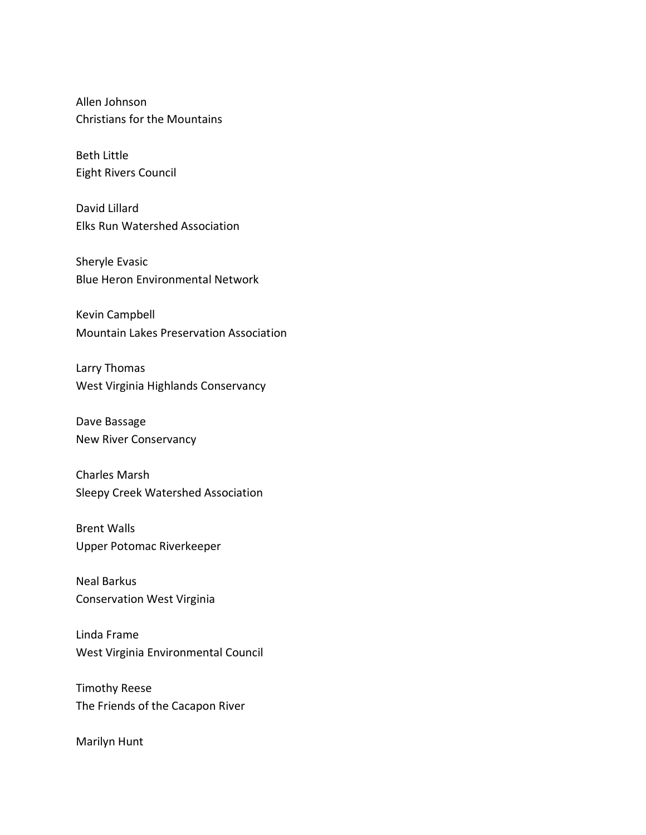Allen Johnson Christians for the Mountains

Beth Little Eight Rivers Council

David Lillard Elks Run Watershed Association

Sheryle Evasic Blue Heron Environmental Network

Kevin Campbell Mountain Lakes Preservation Association

Larry Thomas West Virginia Highlands Conservancy

Dave Bassage New River Conservancy

Charles Marsh Sleepy Creek Watershed Association

Brent Walls Upper Potomac Riverkeeper

Neal Barkus Conservation West Virginia

Linda Frame West Virginia Environmental Council

Timothy Reese The Friends of the Cacapon River

Marilyn Hunt